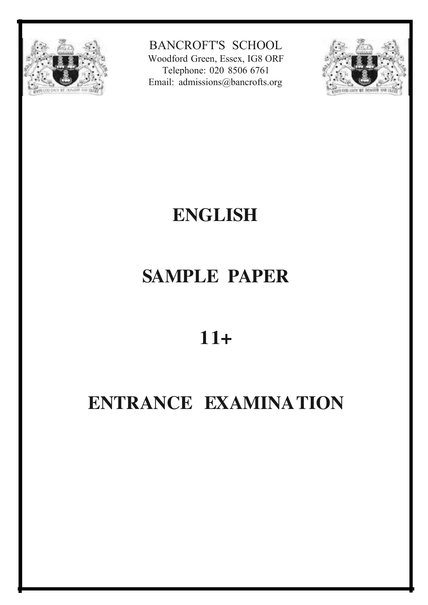

BANCROFT'S SCHOOL

Woodford Green, Essex, IG8 ORF Telephone: 020 8506 6761 Email: [admissions@bancrofts.org](mailto:admissions@bancrofts.org)



### **ENGLISH**

### **SAMPLE PAPER**

### **11+**

### **ENTRANCE EXAMINATION**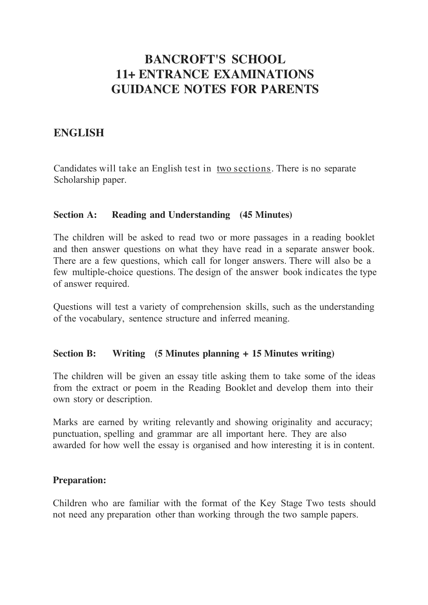#### **BANCROFT'S SCHOOL 11+ ENTRANCE EXAMINATIONS GUIDANCE NOTES FOR PARENTS**

#### **ENGLISH**

Candidates will take an English test in two sections. There is no separate Scholarship paper.

#### **Section A: Reading and Understanding (45 Minutes)**

The children will be asked to read two or more passages in a reading booklet and then answer questions on what they have read in a separate answer book. There are a few questions, which call for longer answers. There will also be a few multiple-choice questions. The design of the answer book indicates the type of answer required.

Questions will test a variety of comprehension skills, such as the understanding of the vocabulary, sentence structure and inferred meaning.

#### **Section B: Writing (5 Minutes planning + 15 Minutes writing)**

The children will be given an essay title asking them to take some of the ideas from the extract or poem in the Reading Booklet and develop them into their own story or description.

Marks are earned by writing relevantly and showing originality and accuracy; punctuation, spelling and grammar are all important here. They are also awarded for how well the essay is organised and how interesting it is in content.

#### **Preparation:**

Children who are familiar with the format of the Key Stage Two tests should not need any preparation other than working through the two sample papers.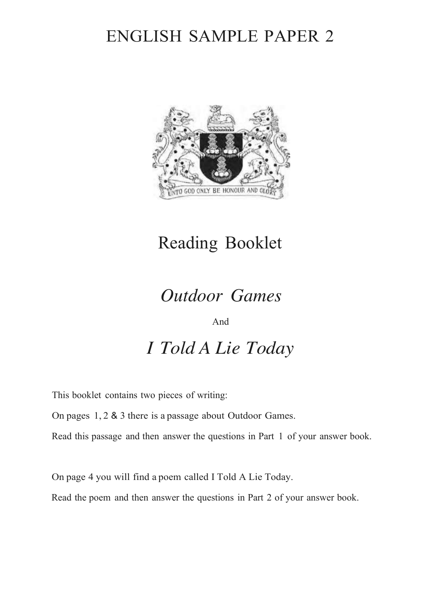### ENGLISH SAMPLE PAPER 2



### Reading Booklet

### *Outdoor Games*

And

*I Told A Lie Today*

This booklet contains two pieces of writing:

On pages 1, 2 & 3 there is a passage about Outdoor Games.

Read this passage and then answer the questions in Part 1 of your answer book.

On page 4 you will find a poem called I Told A Lie Today.

Read the poem and then answer the questions in Part 2 of your answer book.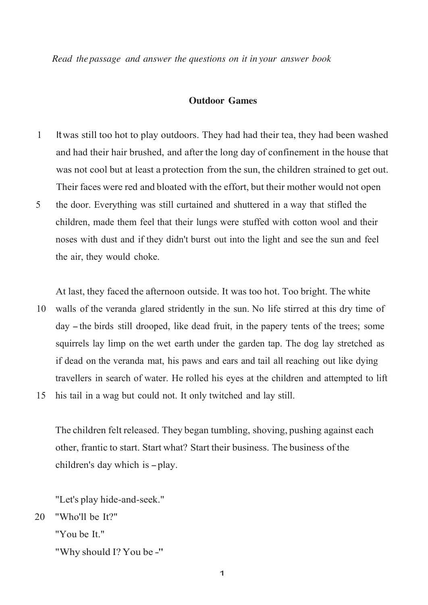*Read the passage and answer the questions on it in your answer book*

#### **Outdoor Games**

- 1 Itwas still too hot to play outdoors. They had had their tea, they had been washed and had their hair brushed, and after the long day of confinement in the house that was not cool but at least a protection from the sun, the children strained to get out. Their faces were red and bloated with the effort, but their mother would not open
- 5 the door. Everything was still curtained and shuttered in a way that stifled the children, made them feel that their lungs were stuffed with cotton wool and their noses with dust and if they didn't burst out into the light and see the sun and feel the air, they would choke.

At last, they faced the afternoon outside. It was too hot. Too bright. The white

10 walls of the veranda glared stridently in the sun. No life stirred at this dry time of day -the birds still drooped, like dead fruit, in the papery tents of the trees; some squirrels lay limp on the wet earth under the garden tap. The dog lay stretched as if dead on the veranda mat, his paws and ears and tail all reaching out like dying travellers in search of water. He rolled his eyes at the children and attempted to lift 15 his tail in a wag but could not. It only twitched and lay still.

The children felt released. They began tumbling, shoving, pushing against each other, frantic to start. Start what? Start their business. The business of the children's day which is-play.

"Let's play hide-and-seek."

20 "Who'll be It?"

"You be It."

```
"Why should I? You be -"
```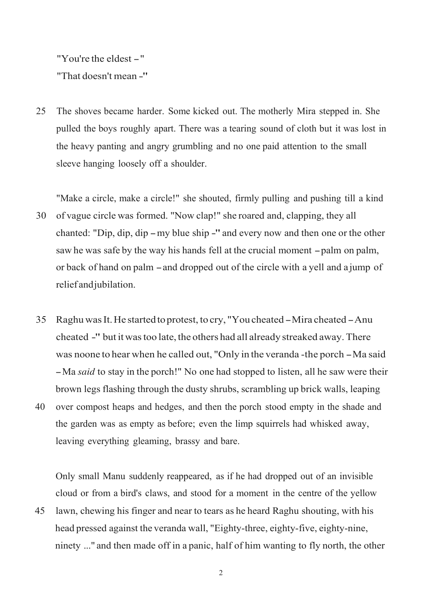"You're the eldest-" "That doesn't mean -"

25 The shoves became harder. Some kicked out. The motherly Mira stepped in. She pulled the boys roughly apart. There was a tearing sound of cloth but it was lost in the heavy panting and angry grumbling and no one paid attention to the small sleeve hanging loosely off a shoulder.

"Make a circle, make a circle!" she shouted, firmly pulling and pushing till a kind

- 30 of vague circle was formed. "Now clap!" she roared and, clapping, they all chanted: "Dip, dip, dip -my blue ship -" and every now and then one or the other saw he was safe by the way his hands fell at the crucial moment  $-palm$  on palm, or back of hand on palm -and dropped out of the circle with <sup>a</sup> yell and <sup>a</sup> jump of relief andjubilation.
- 35 Raghu was It. He started to protest, to cry, "You cheated Mira cheated Anu cheated -" but it was too late, the others had all already streaked away. There was noone to hear when he called out, "Only in the veranda -the porch -Ma said -Ma *said* to stay in the porch!" No one had stopped to listen, all he saw were their brown legs flashing through the dusty shrubs, scrambling up brick walls, leaping 40 over compost heaps and hedges, and then the porch stood empty in the shade and
- the garden was as empty as before; even the limp squirrels had whisked away, leaving everything gleaming, brassy and bare.

Only small Manu suddenly reappeared, as if he had dropped out of an invisible cloud or from a bird's claws, and stood for a moment in the centre of the yellow

45 lawn, chewing his finger and near to tears as he heard Raghu shouting, with his head pressed against the veranda wall, "Eighty-three, eighty-five, eighty-nine, ninety ..." and then made off in a panic, half of him wanting to fly north, the other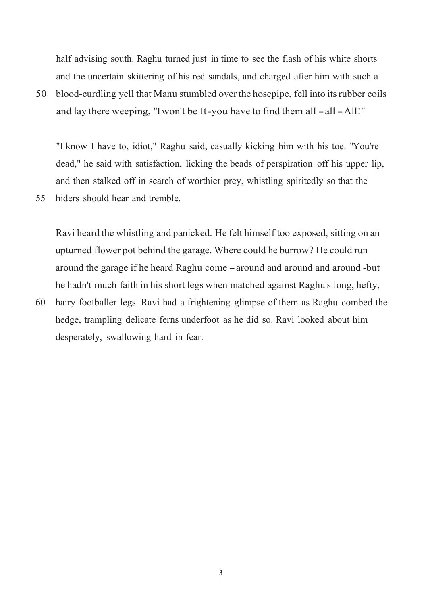half advising south. Raghu turned just in time to see the flash of his white shorts and the uncertain skittering of his red sandals, and charged after him with such a

50 blood-curdling yell that Manu stumbled overthe hosepipe, fell into itsrubber coils and lay there weeping, "Iwon't be It-you have to find them all-all-All!"

"I know I have to, idiot," Raghu said, casually kicking him with his toe. "You're dead," he said with satisfaction, licking the beads of perspiration off his upper lip, and then stalked off in search of worthier prey, whistling spiritedly so that the 55 hiders should hear and tremble.

Ravi heard the whistling and panicked. He felt himself too exposed, sitting on an upturned flower pot behind the garage. Where could he burrow? He could run around the garage if he heard Raghu come -around and around and around -but he hadn't much faith in his short legs when matched against Raghu's long, hefty,

60 hairy footballer legs. Ravi had a frightening glimpse of them as Raghu combed the hedge, trampling delicate ferns underfoot as he did so. Ravi looked about him desperately, swallowing hard in fear.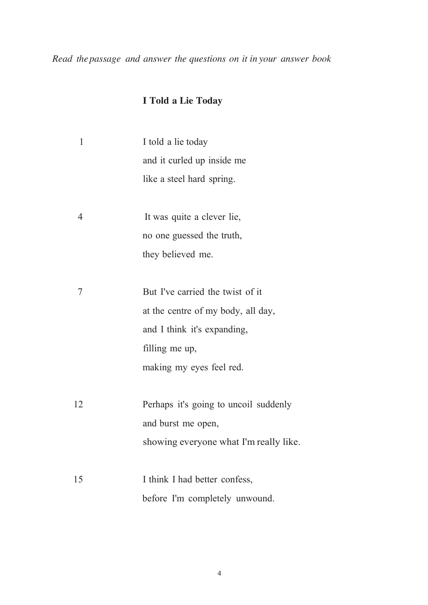*Read thepassage and answer the questions on it in your answer book*

#### **I Told a Lie Today**

| $\mathbf{1}$   | I told a lie today                     |  |  |
|----------------|----------------------------------------|--|--|
|                | and it curled up inside me             |  |  |
|                | like a steel hard spring.              |  |  |
|                |                                        |  |  |
| $\overline{4}$ | It was quite a clever lie,             |  |  |
|                | no one guessed the truth,              |  |  |
|                | they believed me.                      |  |  |
|                |                                        |  |  |
| 7              | But I've carried the twist of it       |  |  |
|                | at the centre of my body, all day,     |  |  |
|                | and I think it's expanding,            |  |  |
|                | filling me up,                         |  |  |
|                | making my eyes feel red.               |  |  |
|                |                                        |  |  |
| 12             | Perhaps it's going to uncoil suddenly  |  |  |
|                | and burst me open,                     |  |  |
|                | showing everyone what I'm really like. |  |  |
|                |                                        |  |  |
| 15             | I think I had better confess,          |  |  |
|                | before I'm completely unwound.         |  |  |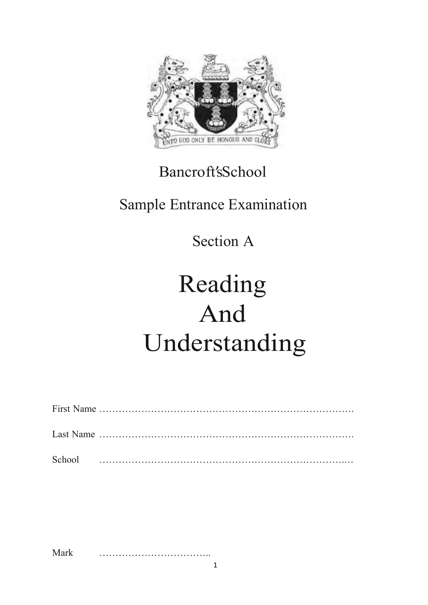

### Bancroft'sSchool

### Sample Entrance Examination

### Section A

## Reading And Understanding

Mark ……………………………..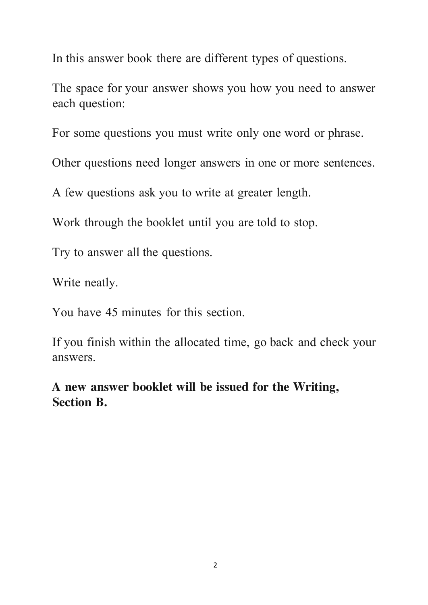In this answer book there are different types of questions.

The space for your answer shows you how you need to answer each question:

For some questions you must write only one word or phrase.

Other questions need longer answers in one or more sentences.

A few questions ask you to write at greater length.

Work through the booklet until you are told to stop.

Try to answer all the questions.

Write neatly.

You have 45 minutes for this section.

If you finish within the allocated time, go back and check your answers.

**A new answer booklet will be issued for the Writing, Section B.**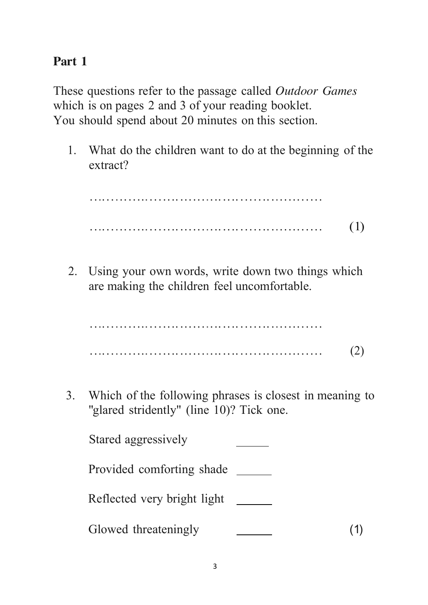#### **Part 1**

These questions refer to the passage called *Outdoor Games* which is on pages 2 and 3 of your reading booklet. You should spend about 20 minutes on this section.

1. What do the children want to do at the beginning of the extract?

..................... .......... .... ....... ............ ..................... .......... .... ....... ............ (1)

2. Using your own words, write down two things which are making the children feel uncomfortable.

..................... .......... .... ....... ............ ..................... .......... .... ....... ............ (2)

3. Which of the following phrases is closest in meaning to "glared stridently" (line 10)? Tick one.

Stared aggressively Provided comforting shade \_\_\_\_\_\_\_ Reflected very bright light Glowed threateningly (1)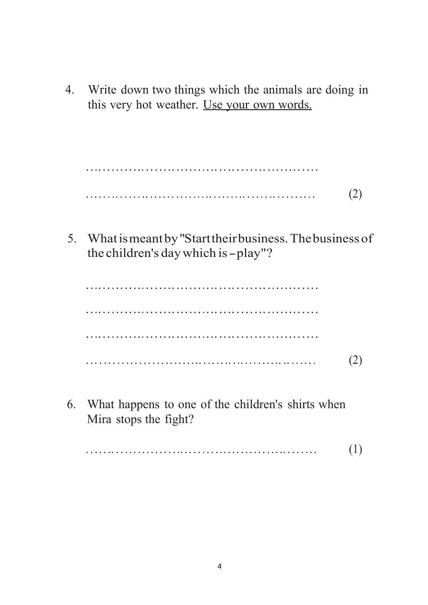4. Write down two things which the animals are doing in this very hot weather. Use your own words.

..................... .......... .... ....... ............ . . . .. . .. . . . . . .. .. .. .. .. .. ..... . .. .. ... . . .. . .. . . .. . .. .. (2)

5. Whatismeantby"Starttheirbusiness.Thebusiness of the children's daywhich is-play"?

..................... .......... .... ....... ............ ..................... .......... .... ....... ............ ..................... .......... .... ....... ............ . .. . . . . . . .. . . . . . . . .. .. . .... . .. .. .. . .. .. . . . .. .. .. .. ... . (2)

6. What happens to one of the children's shirts when Mira stops the fight?

. . .. . .. . . . .. .. .. . .. . . .. .. . . .. . .... .. . .. .. . ..... . . . . .. . (1)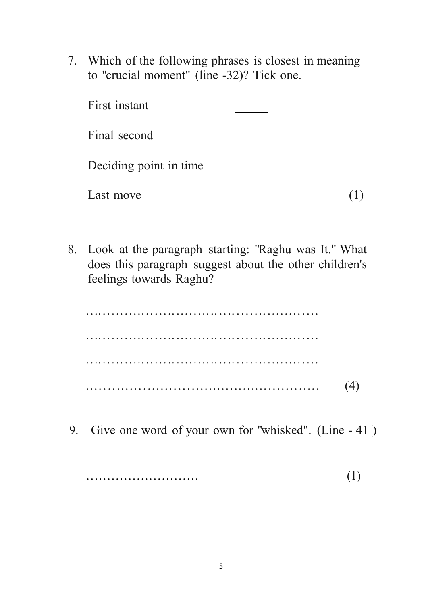7. Which of the following phrases is closest in meaning to "crucial moment" (line -32)? Tick one.

| First instant          |  |
|------------------------|--|
| Final second           |  |
| Deciding point in time |  |
| Last move              |  |

8. Look at the paragraph starting: "Raghu was It." What does this paragraph suggest about the other children's feelings towards Raghu?

..................... .......... .... ....... ............ ..................... .......... .... ....... ............ ..................... .......... .... ....... ............ ...................................................... (4)

9. Give one word of your own for "whisked". (Line - 41 )

……………………… (1)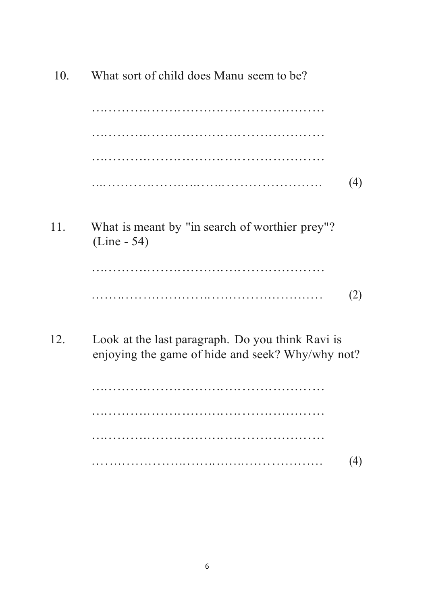| 10. | What sort of child does Manu seem to be?                                                             |     |  |
|-----|------------------------------------------------------------------------------------------------------|-----|--|
|     | .                                                                                                    |     |  |
|     |                                                                                                      |     |  |
|     |                                                                                                      |     |  |
|     |                                                                                                      | (4) |  |
| 11. | What is meant by "in search of worthier prey"?<br>$(Line - 54)$                                      |     |  |
|     |                                                                                                      |     |  |
|     |                                                                                                      | (2) |  |
| 12. | Look at the last paragraph. Do you think Ravi is<br>enjoying the game of hide and seek? Why/why not? |     |  |
|     |                                                                                                      |     |  |
|     |                                                                                                      |     |  |

 $(4)$ . . . . . . . . . . . .  $\ddot{\phantom{a}}$ 

 $\ddot{\phantom{a}}$ 

 $\overline{a}$ 

 $\overline{a}$  $\ddot{\phantom{a}}$  $\ddot{\phantom{a}}$  $\ddot{\phantom{a}}$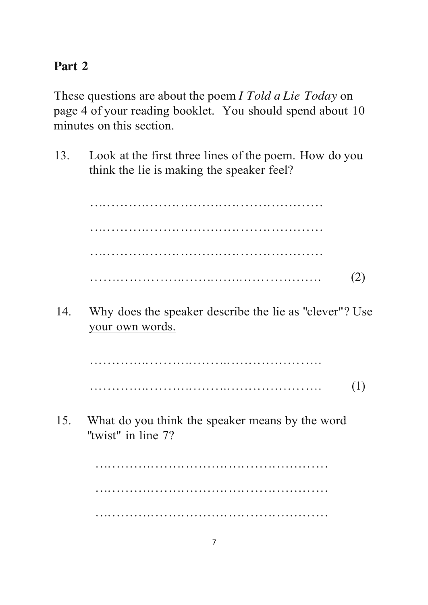#### **Part 2**

These questions are about the poem *I Told a Lie Today* on page 4 of your reading booklet. You should spend about 10 minutes on this section.

13. Look at the first three lines of the poem. How do you think the lie is making the speaker feel?

> ..................... .......... .... ....... ............ ..................... .......... .... ....... ............ ..................... .......... .... ....... ............ . . . . . ... . . . . .. . . . . . . .. . . . . . .. .. . . . .. . . . . . . . . . .. . . . . . . . (2)

14. Why does the speaker describe the lie as "clever"? Use your own words.

> ... . . .. .. ..... . . . . . ..... .. .. . . ... .. ... .. .. ... .. .. . .... ... . . .. .. ..... . . . . . ..... .. .. . . ... .. ... .. .. ... .. .. . .... (1)

15. What do you think the speaker means by the word "twist" in line 7?

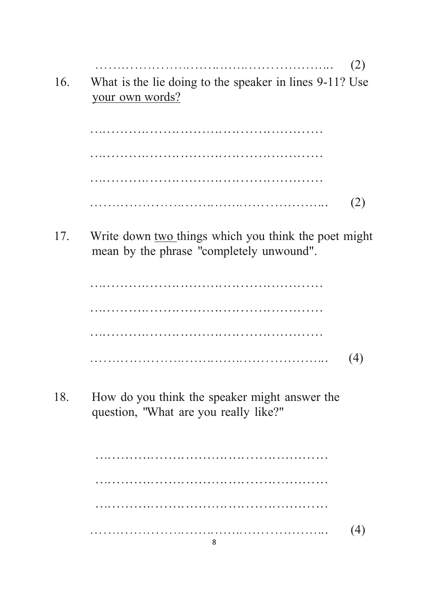$(2)$ What is the lie doing to the speaker in lines 9-11? Use 16. your own words?  $(2)$ Write down two things which you think the poet might 17. mean by the phrase "completely unwound".  $(4)$ How do you think the speaker might answer the 18. question, "What are you really like?"

| (4) |
|-----|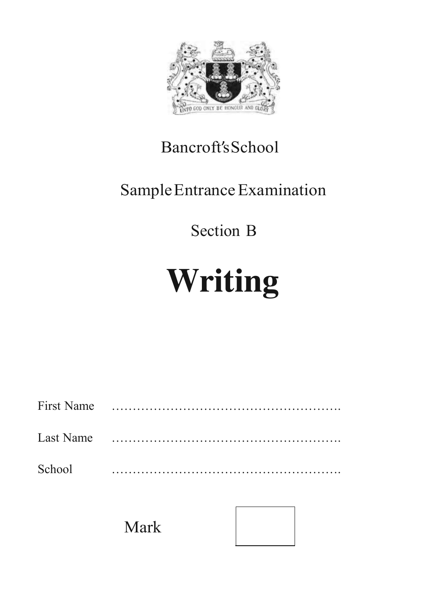

### Bancroft'sSchool

### Sample Entrance Examination

### Section B

# **Writing**

| <b>First Name</b> |  |
|-------------------|--|
| Last Name         |  |
| School            |  |

Mark

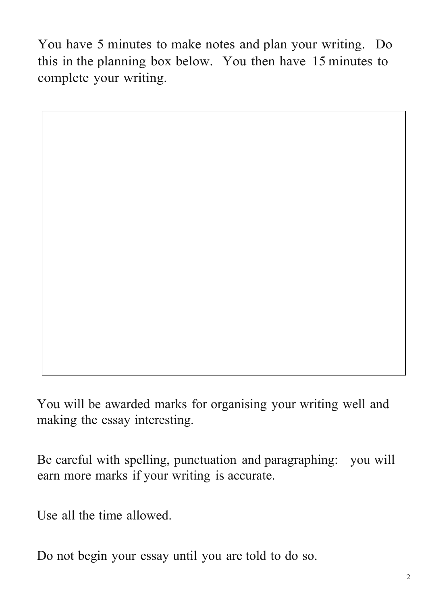You have 5 minutes to make notes and plan your writing. Do this in the planning box below. You then have 15 minutes to complete your writing.

You will be awarded marks for organising your writing well and making the essay interesting.

Be careful with spelling, punctuation and paragraphing: you will earn more marks if your writing is accurate.

Use all the time allowed.

Do not begin your essay until you are told to do so.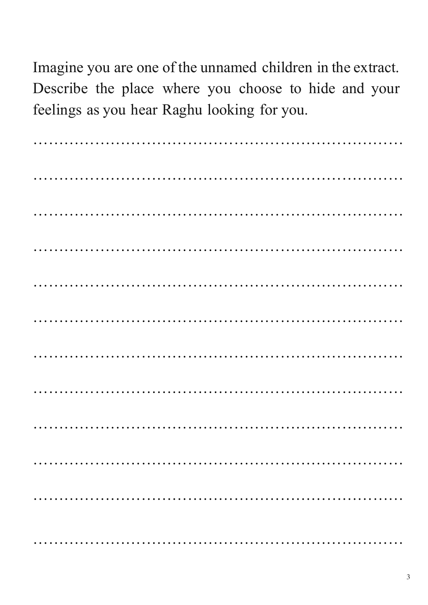Imagine you are one of the unnamed children in the extract. Describe the place where you choose to hide and your feelings as you hear Raghu looking for you.

……………………………………………………………… ……………………………………………………………… ……………………………………………………………… ……………………………………………………………… ……………………………………………………………… ……………………………………………………………… ……………………………………………………………… ……………………………………………………………… ……………………………………………………………… ……………………………………………………………… ……………………………………………………………… ………………………………………………………………